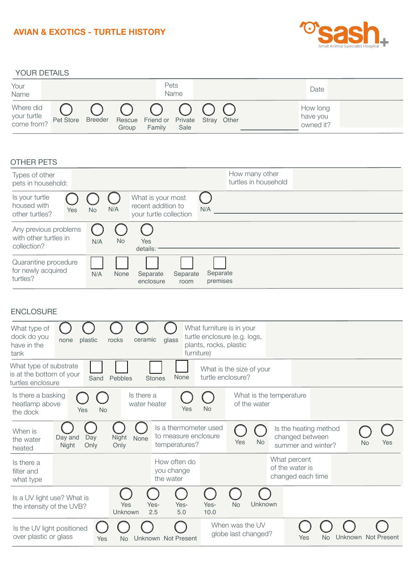## **AVIAN & EXOTICS - TURTLE HISTORY**



YOUR DETAILS



## OTHER PETS

| Types of other<br>pets in household:                          |            |           |           |                                                                   |                  |                      | How many other<br>turtles in household |  |  |
|---------------------------------------------------------------|------------|-----------|-----------|-------------------------------------------------------------------|------------------|----------------------|----------------------------------------|--|--|
| Is your turtle<br>housed with<br>other turtles?               | <b>Yes</b> | <b>No</b> | N/A       | What is your most<br>recent addition to<br>your turtle collection |                  | N/A                  |                                        |  |  |
| Any previous problems<br>with other turtles in<br>collection? |            | N/A       | <b>No</b> | Yes<br>details:                                                   |                  |                      |                                        |  |  |
| Quarantine procedure<br>for newly acquired<br>turtles?        |            | N/A       | None      | Separate<br>enclosure                                             | Separate<br>room | Separate<br>premises |                                        |  |  |

## ENCLOSURE

| What type of<br>dock do you<br>have in the<br>tank                                                                                                                   | plastic<br>none                 | ceramic<br>rocks           | glass<br>furniture)                                            | What furniture is in your<br>plants, rocks, plastic | turtle enclosure (e.g. logs, |                                                                |                     |                  |
|----------------------------------------------------------------------------------------------------------------------------------------------------------------------|---------------------------------|----------------------------|----------------------------------------------------------------|-----------------------------------------------------|------------------------------|----------------------------------------------------------------|---------------------|------------------|
| What type of substrate<br>What is the size of your<br>is at the bottom of your<br>None<br>turtle enclosure?<br>Pebbles<br>Sand<br><b>Stones</b><br>turtles enclosure |                                 |                            |                                                                |                                                     |                              |                                                                |                     |                  |
| Is there a basking<br>heatlamp above<br>the dock                                                                                                                     | <b>No</b><br>Yes                | Is there a<br>water heater | Yes                                                            | <b>No</b>                                           | of the water                 | What is the temperature                                        |                     |                  |
| When is<br>the water<br>heated                                                                                                                                       | Day<br>Day and<br>Night<br>Only | Night<br>None<br>Only      | Is a thermometer used<br>to measure enclosure<br>temperatures? |                                                     | <b>No</b><br>Yes             | Is the heating method<br>changed between<br>summer and winter? |                     | Yes<br><b>No</b> |
| Is there a<br>filter and<br>what type                                                                                                                                |                                 |                            | How often do<br>you change<br>the water                        |                                                     |                              | What percent<br>of the water is<br>changed each time           |                     |                  |
| Is a UV light use? What is<br>Yes<br>the intensity of the UVB?<br>Unknown                                                                                            |                                 | Yes-<br>Yes-<br>2.5<br>5.0 | Yes-<br>10.0                                                   | Unknown<br><b>No</b>                                |                              |                                                                |                     |                  |
| Is the UV light positioned<br>over plastic or glass<br>Yes<br>No                                                                                                     |                                 | Unknown Not Present        |                                                                | When was the UV<br>globe last changed?              | Yes                          | No                                                             | Unknown Not Present |                  |